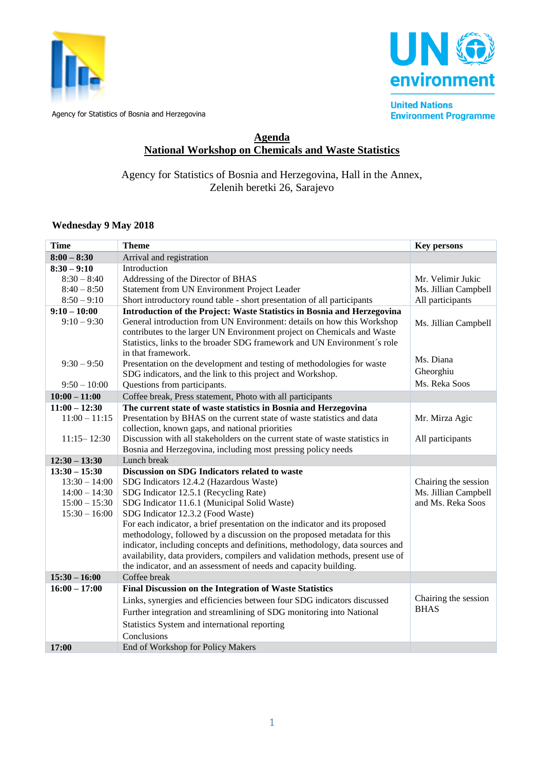

Agency for Statistics of Bosnia and Herzegovina



**United Nations Environment Programme** 

## **Agenda National Workshop on Chemicals and Waste Statistics**

Agency for Statistics of Bosnia and Herzegovina, Hall in the Annex, Zelenih beretki 26, Sarajevo

## **Wednesday 9 May 2018**

| <b>Time</b>     | <b>Theme</b>                                                                                                                                            | <b>Key persons</b>   |
|-----------------|---------------------------------------------------------------------------------------------------------------------------------------------------------|----------------------|
| $8:00 - 8:30$   | Arrival and registration                                                                                                                                |                      |
| $8:30 - 9:10$   | Introduction                                                                                                                                            |                      |
| $8:30 - 8:40$   | Addressing of the Director of BHAS                                                                                                                      | Mr. Velimir Jukic    |
| $8:40 - 8:50$   | Statement from UN Environment Project Leader                                                                                                            | Ms. Jillian Campbell |
| $8:50 - 9:10$   | Short introductory round table - short presentation of all participants                                                                                 | All participants     |
| $9:10 - 10:00$  | Introduction of the Project: Waste Statistics in Bosnia and Herzegovina                                                                                 |                      |
| $9:10 - 9:30$   | General introduction from UN Environment: details on how this Workshop                                                                                  | Ms. Jillian Campbell |
|                 | contributes to the larger UN Environment project on Chemicals and Waste                                                                                 |                      |
|                 | Statistics, links to the broader SDG framework and UN Environment's role                                                                                |                      |
|                 | in that framework.                                                                                                                                      | Ms. Diana            |
| $9:30 - 9:50$   | Presentation on the development and testing of methodologies for waste                                                                                  |                      |
|                 | SDG indicators, and the link to this project and Workshop.                                                                                              | Gheorghiu            |
| $9:50 - 10:00$  | Questions from participants.                                                                                                                            | Ms. Reka Soos        |
| $10:00 - 11:00$ | Coffee break, Press statement, Photo with all participants                                                                                              |                      |
| $11:00 - 12:30$ | The current state of waste statistics in Bosnia and Herzegovina                                                                                         |                      |
| $11:00 - 11:15$ | Presentation by BHAS on the current state of waste statistics and data                                                                                  | Mr. Mirza Agic       |
|                 | collection, known gaps, and national priorities                                                                                                         |                      |
| $11:15 - 12:30$ | Discussion with all stakeholders on the current state of waste statistics in                                                                            | All participants     |
|                 | Bosnia and Herzegovina, including most pressing policy needs                                                                                            |                      |
| $12:30 - 13:30$ | Lunch break                                                                                                                                             |                      |
| $13:30 - 15:30$ | Discussion on SDG Indicators related to waste                                                                                                           |                      |
| $13:30 - 14:00$ | SDG Indicators 12.4.2 (Hazardous Waste)                                                                                                                 | Chairing the session |
| $14:00 - 14:30$ | SDG Indicator 12.5.1 (Recycling Rate)                                                                                                                   | Ms. Jillian Campbell |
| $15:00 - 15:30$ | SDG Indicator 11.6.1 (Municipal Solid Waste)                                                                                                            | and Ms. Reka Soos    |
| $15:30 - 16:00$ | SDG Indicator 12.3.2 (Food Waste)                                                                                                                       |                      |
|                 | For each indicator, a brief presentation on the indicator and its proposed                                                                              |                      |
|                 | methodology, followed by a discussion on the proposed metadata for this<br>indicator, including concepts and definitions, methodology, data sources and |                      |
|                 | availability, data providers, compilers and validation methods, present use of                                                                          |                      |
|                 | the indicator, and an assessment of needs and capacity building.                                                                                        |                      |
| $15:30 - 16:00$ | Coffee break                                                                                                                                            |                      |
| $16:00 - 17:00$ | Final Discussion on the Integration of Waste Statistics                                                                                                 |                      |
|                 |                                                                                                                                                         | Chairing the session |
|                 | Links, synergies and efficiencies between four SDG indicators discussed                                                                                 | <b>BHAS</b>          |
|                 | Further integration and streamlining of SDG monitoring into National                                                                                    |                      |
|                 | Statistics System and international reporting                                                                                                           |                      |
|                 | Conclusions                                                                                                                                             |                      |
| 17:00           | End of Workshop for Policy Makers                                                                                                                       |                      |